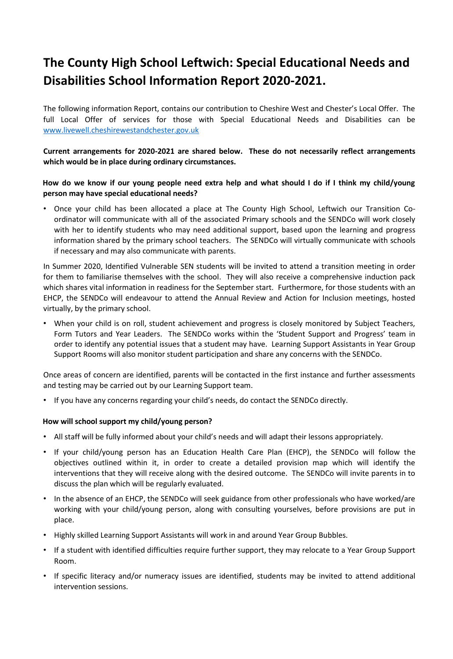# **The County High School Leftwich: Special Educational Needs and Disabilities School Information Report 2020-2021.**

The following information Report, contains our contribution to Cheshire West and Chester's Local Offer. The full Local Offer of services for those with Special Educational Needs and Disabilities can be [www.livewell.cheshirewestandchester.gov.uk](https://livewell.cheshirewestandchester.gov.uk/)

# **Current arrangements for 2020-2021 are shared below. These do not necessarily reflect arrangements which would be in place during ordinary circumstances.**

# **How do we know if our young people need extra help and what should I do if I think my child/young person may have special educational needs?**

• Once your child has been allocated a place at The County High School, Leftwich our Transition Coordinator will communicate with all of the associated Primary schools and the SENDCo will work closely with her to identify students who may need additional support, based upon the learning and progress information shared by the primary school teachers. The SENDCo will virtually communicate with schools if necessary and may also communicate with parents.

In Summer 2020, Identified Vulnerable SEN students will be invited to attend a transition meeting in order for them to familiarise themselves with the school. They will also receive a comprehensive induction pack which shares vital information in readiness for the September start. Furthermore, for those students with an EHCP, the SENDCo will endeavour to attend the Annual Review and Action for Inclusion meetings, hosted virtually, by the primary school.

• When your child is on roll, student achievement and progress is closely monitored by Subject Teachers, Form Tutors and Year Leaders. The SENDCo works within the 'Student Support and Progress' team in order to identify any potential issues that a student may have. Learning Support Assistants in Year Group Support Rooms will also monitor student participation and share any concerns with the SENDCo.

Once areas of concern are identified, parents will be contacted in the first instance and further assessments and testing may be carried out by our Learning Support team.

• If you have any concerns regarding your child's needs, do contact the SENDCo directly.

## **How will school support my child/young person?**

- All staff will be fully informed about your child's needs and will adapt their lessons appropriately.
- If your child/young person has an Education Health Care Plan (EHCP), the SENDCo will follow the objectives outlined within it, in order to create a detailed provision map which will identify the interventions that they will receive along with the desired outcome. The SENDCo will invite parents in to discuss the plan which will be regularly evaluated.
- In the absence of an EHCP, the SENDCo will seek guidance from other professionals who have worked/are working with your child/young person, along with consulting yourselves, before provisions are put in place.
- Highly skilled Learning Support Assistants will work in and around Year Group Bubbles.
- If a student with identified difficulties require further support, they may relocate to a Year Group Support Room.
- If specific literacy and/or numeracy issues are identified, students may be invited to attend additional intervention sessions.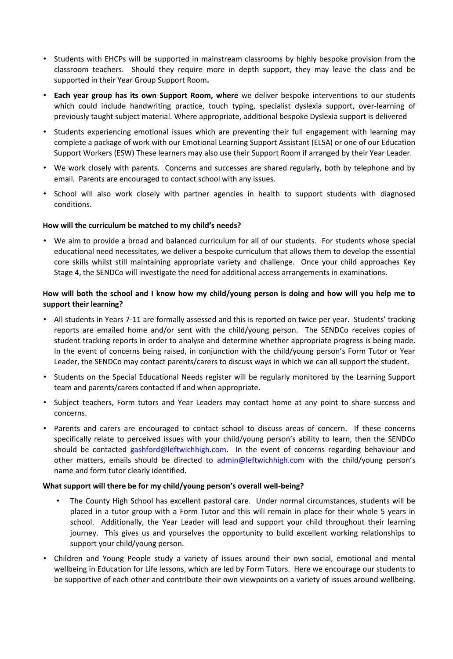- Students with EHCPs will be supported in mainstream classrooms by highly bespoke provision from the classroom teachers. Should they require more in depth support, they may leave the class and be supported in their Year Group Support Room**.**
- **Each year group has its own Support Room, where** we deliver bespoke interventions to our students which could include handwriting practice, touch typing, specialist dyslexia support, over-learning of previously taught subject material. Where appropriate, additional bespoke Dyslexia support is delivered
- Students experiencing emotional issues which are preventing their full engagement with learning may complete a package of work with our Emotional Learning Support Assistant (ELSA) or one of our Education Support Workers (ESW) These learners may also use their Support Room if arranged by their Year Leader.
- We work closely with parents. Concerns and successes are shared regularly, both by telephone and by email. Parents are encouraged to contact school with any issues.
- School will also work closely with partner agencies in health to support students with diagnosed conditions.

## **How will the curriculum be matched to my child's needs?**

• We aim to provide a broad and balanced curriculum for all of our students. For students whose special educational need necessitates, we deliver a bespoke curriculum that allows them to develop the essential core skills whilst still maintaining appropriate variety and challenge. Once your child approaches Key Stage 4, the SENDCo will investigate the need for additional access arrangements in examinations.

## **How will both the school and I know how my child/young person is doing and how will you help me to support their learning?**

- All students in Years 7-11 are formally assessed and this is reported on twice per year. Students' tracking reports are emailed home and/or sent with the child/young person. The SENDCo receives copies of student tracking reports in order to analyse and determine whether appropriate progress is being made. In the event of concerns being raised, in conjunction with the child/young person's Form Tutor or Year Leader, the SENDCo may contact parents/carers to discuss ways in which we can all support the student.
- Students on the Special Educational Needs register will be regularly monitored by the Learning Support team and parents/carers contacted if and when appropriate.
- Subject teachers, Form tutors and Year Leaders may contact home at any point to share success and concerns.
- Parents and carers are encouraged to contact school to discuss areas of concern. If these concerns specifically relate to perceived issues with your child/young person's ability to learn, then the SENDCo should be contacted gashford@leftwichhigh.com. In the event of concerns regarding behaviour and other matters, emails should be directed to admin@leftwichhigh.com with the child/young person's name and form tutor clearly identified.

#### **What support will there be for my child/young person's overall well-being?**

- The County High School has excellent pastoral care. Under normal circumstances, students will be placed in a tutor group with a Form Tutor and this will remain in place for their whole 5 years in school. Additionally, the Year Leader will lead and support your child throughout their learning journey. This gives us and yourselves the opportunity to build excellent working relationships to support your child/young person.
- Children and Young People study a variety of issues around their own social, emotional and mental wellbeing in Education for Life lessons, which are led by Form Tutors. Here we encourage our students to be supportive of each other and contribute their own viewpoints on a variety of issues around wellbeing.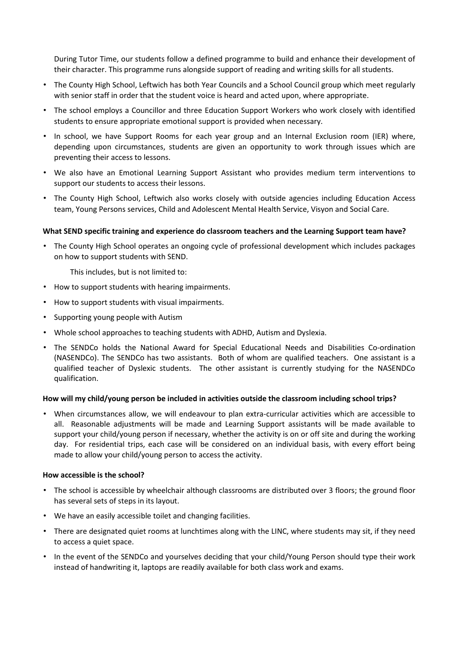During Tutor Time, our students follow a defined programme to build and enhance their development of their character. This programme runs alongside support of reading and writing skills for all students.

- The County High School, Leftwich has both Year Councils and a School Council group which meet regularly with senior staff in order that the student voice is heard and acted upon, where appropriate.
- The school employs a Councillor and three Education Support Workers who work closely with identified students to ensure appropriate emotional support is provided when necessary.
- In school, we have Support Rooms for each year group and an Internal Exclusion room (IER) where, depending upon circumstances, students are given an opportunity to work through issues which are preventing their access to lessons.
- We also have an Emotional Learning Support Assistant who provides medium term interventions to support our students to access their lessons.
- The County High School, Leftwich also works closely with outside agencies including Education Access team, Young Persons services, Child and Adolescent Mental Health Service, Visyon and Social Care.

## **What SEND specific training and experience do classroom teachers and the Learning Support team have?**

• The County High School operates an ongoing cycle of professional development which includes packages on how to support students with SEND.

This includes, but is not limited to:

- How to support students with hearing impairments.
- How to support students with visual impairments.
- Supporting young people with Autism
- Whole school approaches to teaching students with ADHD, Autism and Dyslexia.
- The SENDCo holds the National Award for Special Educational Needs and Disabilities Co-ordination (NASENDCo). The SENDCo has two assistants. Both of whom are qualified teachers. One assistant is a qualified teacher of Dyslexic students. The other assistant is currently studying for the NASENDCo qualification.

#### **How will my child/young person be included in activities outside the classroom including school trips?**

• When circumstances allow, we will endeavour to plan extra-curricular activities which are accessible to all. Reasonable adjustments will be made and Learning Support assistants will be made available to support your child/young person if necessary, whether the activity is on or off site and during the working day. For residential trips, each case will be considered on an individual basis, with every effort being made to allow your child/young person to access the activity.

#### **How accessible is the school?**

- The school is accessible by wheelchair although classrooms are distributed over 3 floors; the ground floor has several sets of steps in its layout.
- We have an easily accessible toilet and changing facilities.
- There are designated quiet rooms at lunchtimes along with the LINC, where students may sit, if they need to access a quiet space.
- In the event of the SENDCo and yourselves deciding that your child/Young Person should type their work instead of handwriting it, laptops are readily available for both class work and exams.